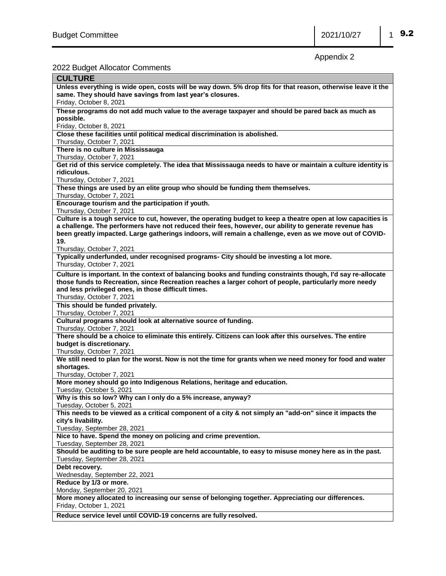Appendix 2

## 2022 Budget Allocator Comments

| <b>CULTURE</b>                                                                                                                         |
|----------------------------------------------------------------------------------------------------------------------------------------|
| Unless everything is wide open, costs will be way down. 5% drop fits for that reason, otherwise leave it the                           |
| same. They should have savings from last year's closures.                                                                              |
| Friday, October 8, 2021                                                                                                                |
| These programs do not add much value to the average taxpayer and should be pared back as much as                                       |
| possible.                                                                                                                              |
| Friday, October 8, 2021                                                                                                                |
| Close these facilities until political medical discrimination is abolished.                                                            |
| Thursday, October 7, 2021                                                                                                              |
| There is no culture in Mississauga                                                                                                     |
| Thursday, October 7, 2021                                                                                                              |
| Get rid of this service completely. The idea that Mississauga needs to have or maintain a culture identity is<br>ridiculous.           |
|                                                                                                                                        |
| Thursday, October 7, 2021<br>These things are used by an elite group who should be funding them themselves.                            |
| Thursday, October 7, 2021                                                                                                              |
| Encourage tourism and the participation if youth.                                                                                      |
| Thursday, October 7, 2021                                                                                                              |
| Culture is a tough service to cut, however, the operating budget to keep a theatre open at low capacities is                           |
| a challenge. The performers have not reduced their fees, however, our ability to generate revenue has                                  |
| been greatly impacted. Large gatherings indoors, will remain a challenge, even as we move out of COVID-                                |
| 19.                                                                                                                                    |
| Thursday, October 7, 2021                                                                                                              |
| Typically underfunded, under recognised programs- City should be investing a lot more.                                                 |
| Thursday, October 7, 2021                                                                                                              |
| Culture is important. In the context of balancing books and funding constraints though, I'd say re-allocate                            |
| those funds to Recreation, since Recreation reaches a larger cohort of people, particularly more needy                                 |
| and less privileged ones, in those difficult times.                                                                                    |
| Thursday, October 7, 2021                                                                                                              |
| This should be funded privately.                                                                                                       |
| Thursday, October 7, 2021                                                                                                              |
| Cultural programs should look at alternative source of funding.                                                                        |
| Thursday, October 7, 2021<br>There should be a choice to eliminate this entirely. Citizens can look after this ourselves. The entire   |
| budget is discretionary.                                                                                                               |
| Thursday, October 7, 2021                                                                                                              |
| We still need to plan for the worst. Now is not the time for grants when we need money for food and water                              |
| shortages.                                                                                                                             |
| Thursday, October 7, 2021                                                                                                              |
| More money should go into Indigenous Relations, heritage and education.                                                                |
| Tuesday, October 5, 2021                                                                                                               |
| Why is this so low? Why can I only do a 5% increase, anyway?                                                                           |
| Tuesday, October 5, 2021                                                                                                               |
| This needs to be viewed as a critical component of a city & not simply an "add-on" since it impacts the                                |
| city's livability.                                                                                                                     |
| Tuesday, September 28, 2021                                                                                                            |
| Nice to have. Spend the money on policing and crime prevention.                                                                        |
| Tuesday, September 28, 2021                                                                                                            |
| Should be auditing to be sure people are held accountable, to easy to misuse money here as in the past.<br>Tuesday, September 28, 2021 |
| Debt recovery.                                                                                                                         |
| Wednesday, September 22, 2021                                                                                                          |
| Reduce by 1/3 or more.                                                                                                                 |
| Monday, September 20, 2021                                                                                                             |
| More money allocated to increasing our sense of belonging together. Appreciating our differences.                                      |
| Friday, October 1, 2021                                                                                                                |
| Reduce service level until COVID-19 concerns are fully resolved.                                                                       |
|                                                                                                                                        |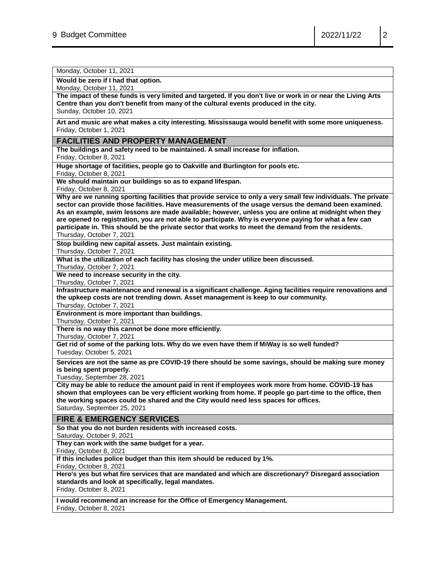| Would be zero if I had that option.<br>Monday, October 11, 2021<br>The impact of these funds is very limited and targeted. If you don't live or work in or near the Living Arts<br>Centre than you don't benefit from many of the cultural events produced in the city.<br>Sunday, October 10, 2021<br>Art and music are what makes a city interesting. Mississauga would benefit with some more uniqueness.<br>Friday, October 1, 2021<br><b>FACILITIES AND PROPERTY MANAGEMENT</b><br>The buildings and safety need to be maintained. A small increase for inflation.<br>Friday, October 8, 2021<br>Huge shortage of facilities, people go to Oakville and Burlington for pools etc.<br>Friday, October 8, 2021<br>We should maintain our buildings so as to expand lifespan.<br>Friday, October 8, 2021<br>Why are we running sporting facilities that provide service to only a very small few individuals. The private<br>sector can provide those facilities. Have measurements of the usage versus the demand been examined.<br>As an example, swim lessons are made available; however, unless you are online at midnight when they<br>are opened to registration, you are not able to participate. Why is everyone paying for what a few can<br>participate in. This should be the private sector that works to meet the demand from the residents.<br>Thursday, October 7, 2021<br>Stop building new capital assets. Just maintain existing.<br>Thursday, October 7, 2021<br>What is the utilization of each facility has closing the under utilize been discussed.<br>Thursday, October 7, 2021<br>We need to increase security in the city.<br>Thursday, October 7, 2021<br>Infrastructure maintenance and renewal is a significant challenge. Aging facilities require renovations and<br>the upkeep costs are not trending down. Asset management is keep to our community.<br>Thursday, October 7, 2021<br>Environment is more important than buildings.<br>Thursday, October 7, 2021<br>There is no way this cannot be done more efficiently.<br>Thursday, October 7, 2021<br>Get rid of some of the parking lots. Why do we even have them if MiWay is so well funded?<br>Tuesday, October 5, 2021<br>Services are not the same as pre COVID-19 there should be some savings, should be making sure money<br>is being spent properly.<br>Tuesday, September 28, 2021<br>City may be able to reduce the amount paid in rent if employees work more from home. COVID-19 has<br>shown that employees can be very efficient working from home. If people go part-time to the office, then<br>the working spaces could be shared and the City would need less spaces for offices.<br>Saturday, September 25, 2021<br><b>FIRE &amp; EMERGENCY SERVICES</b><br>So that you do not burden residents with increased costs.<br>Saturday, October 9, 2021<br>They can work with the same budget for a year.<br>Friday, October 8, 2021<br>If this includes police budget than this item should be reduced by 1%.<br>Friday, October 8, 2021<br>Hero's yes but what fire services that are mandated and which are discretionary? Disregard association<br>standards and look at specifically, legal mandates.<br>Friday, October 8, 2021<br>I would recommend an increase for the Office of Emergency Management.<br>Friday, October 8, 2021 | Monday, October 11, 2021 |
|---------------------------------------------------------------------------------------------------------------------------------------------------------------------------------------------------------------------------------------------------------------------------------------------------------------------------------------------------------------------------------------------------------------------------------------------------------------------------------------------------------------------------------------------------------------------------------------------------------------------------------------------------------------------------------------------------------------------------------------------------------------------------------------------------------------------------------------------------------------------------------------------------------------------------------------------------------------------------------------------------------------------------------------------------------------------------------------------------------------------------------------------------------------------------------------------------------------------------------------------------------------------------------------------------------------------------------------------------------------------------------------------------------------------------------------------------------------------------------------------------------------------------------------------------------------------------------------------------------------------------------------------------------------------------------------------------------------------------------------------------------------------------------------------------------------------------------------------------------------------------------------------------------------------------------------------------------------------------------------------------------------------------------------------------------------------------------------------------------------------------------------------------------------------------------------------------------------------------------------------------------------------------------------------------------------------------------------------------------------------------------------------------------------------------------------------------------------------------------------------------------------------------------------------------------------------------------------------------------------------------------------------------------------------------------------------------------------------------------------------------------------------------------------------------------------------------------------------------------------------------------------------------------------------------------------------------------------------------------------------------------------------------------------------------------------------------------------------------------------------------------------------------------------------------------------------------------------------------------------------------------------------------------------------------------------------------------------------------|--------------------------|
|                                                                                                                                                                                                                                                                                                                                                                                                                                                                                                                                                                                                                                                                                                                                                                                                                                                                                                                                                                                                                                                                                                                                                                                                                                                                                                                                                                                                                                                                                                                                                                                                                                                                                                                                                                                                                                                                                                                                                                                                                                                                                                                                                                                                                                                                                                                                                                                                                                                                                                                                                                                                                                                                                                                                                                                                                                                                                                                                                                                                                                                                                                                                                                                                                                                                                                                                                   |                          |
|                                                                                                                                                                                                                                                                                                                                                                                                                                                                                                                                                                                                                                                                                                                                                                                                                                                                                                                                                                                                                                                                                                                                                                                                                                                                                                                                                                                                                                                                                                                                                                                                                                                                                                                                                                                                                                                                                                                                                                                                                                                                                                                                                                                                                                                                                                                                                                                                                                                                                                                                                                                                                                                                                                                                                                                                                                                                                                                                                                                                                                                                                                                                                                                                                                                                                                                                                   |                          |
|                                                                                                                                                                                                                                                                                                                                                                                                                                                                                                                                                                                                                                                                                                                                                                                                                                                                                                                                                                                                                                                                                                                                                                                                                                                                                                                                                                                                                                                                                                                                                                                                                                                                                                                                                                                                                                                                                                                                                                                                                                                                                                                                                                                                                                                                                                                                                                                                                                                                                                                                                                                                                                                                                                                                                                                                                                                                                                                                                                                                                                                                                                                                                                                                                                                                                                                                                   |                          |
|                                                                                                                                                                                                                                                                                                                                                                                                                                                                                                                                                                                                                                                                                                                                                                                                                                                                                                                                                                                                                                                                                                                                                                                                                                                                                                                                                                                                                                                                                                                                                                                                                                                                                                                                                                                                                                                                                                                                                                                                                                                                                                                                                                                                                                                                                                                                                                                                                                                                                                                                                                                                                                                                                                                                                                                                                                                                                                                                                                                                                                                                                                                                                                                                                                                                                                                                                   |                          |
|                                                                                                                                                                                                                                                                                                                                                                                                                                                                                                                                                                                                                                                                                                                                                                                                                                                                                                                                                                                                                                                                                                                                                                                                                                                                                                                                                                                                                                                                                                                                                                                                                                                                                                                                                                                                                                                                                                                                                                                                                                                                                                                                                                                                                                                                                                                                                                                                                                                                                                                                                                                                                                                                                                                                                                                                                                                                                                                                                                                                                                                                                                                                                                                                                                                                                                                                                   |                          |
|                                                                                                                                                                                                                                                                                                                                                                                                                                                                                                                                                                                                                                                                                                                                                                                                                                                                                                                                                                                                                                                                                                                                                                                                                                                                                                                                                                                                                                                                                                                                                                                                                                                                                                                                                                                                                                                                                                                                                                                                                                                                                                                                                                                                                                                                                                                                                                                                                                                                                                                                                                                                                                                                                                                                                                                                                                                                                                                                                                                                                                                                                                                                                                                                                                                                                                                                                   |                          |
|                                                                                                                                                                                                                                                                                                                                                                                                                                                                                                                                                                                                                                                                                                                                                                                                                                                                                                                                                                                                                                                                                                                                                                                                                                                                                                                                                                                                                                                                                                                                                                                                                                                                                                                                                                                                                                                                                                                                                                                                                                                                                                                                                                                                                                                                                                                                                                                                                                                                                                                                                                                                                                                                                                                                                                                                                                                                                                                                                                                                                                                                                                                                                                                                                                                                                                                                                   |                          |
|                                                                                                                                                                                                                                                                                                                                                                                                                                                                                                                                                                                                                                                                                                                                                                                                                                                                                                                                                                                                                                                                                                                                                                                                                                                                                                                                                                                                                                                                                                                                                                                                                                                                                                                                                                                                                                                                                                                                                                                                                                                                                                                                                                                                                                                                                                                                                                                                                                                                                                                                                                                                                                                                                                                                                                                                                                                                                                                                                                                                                                                                                                                                                                                                                                                                                                                                                   |                          |
|                                                                                                                                                                                                                                                                                                                                                                                                                                                                                                                                                                                                                                                                                                                                                                                                                                                                                                                                                                                                                                                                                                                                                                                                                                                                                                                                                                                                                                                                                                                                                                                                                                                                                                                                                                                                                                                                                                                                                                                                                                                                                                                                                                                                                                                                                                                                                                                                                                                                                                                                                                                                                                                                                                                                                                                                                                                                                                                                                                                                                                                                                                                                                                                                                                                                                                                                                   |                          |
|                                                                                                                                                                                                                                                                                                                                                                                                                                                                                                                                                                                                                                                                                                                                                                                                                                                                                                                                                                                                                                                                                                                                                                                                                                                                                                                                                                                                                                                                                                                                                                                                                                                                                                                                                                                                                                                                                                                                                                                                                                                                                                                                                                                                                                                                                                                                                                                                                                                                                                                                                                                                                                                                                                                                                                                                                                                                                                                                                                                                                                                                                                                                                                                                                                                                                                                                                   |                          |
|                                                                                                                                                                                                                                                                                                                                                                                                                                                                                                                                                                                                                                                                                                                                                                                                                                                                                                                                                                                                                                                                                                                                                                                                                                                                                                                                                                                                                                                                                                                                                                                                                                                                                                                                                                                                                                                                                                                                                                                                                                                                                                                                                                                                                                                                                                                                                                                                                                                                                                                                                                                                                                                                                                                                                                                                                                                                                                                                                                                                                                                                                                                                                                                                                                                                                                                                                   |                          |
|                                                                                                                                                                                                                                                                                                                                                                                                                                                                                                                                                                                                                                                                                                                                                                                                                                                                                                                                                                                                                                                                                                                                                                                                                                                                                                                                                                                                                                                                                                                                                                                                                                                                                                                                                                                                                                                                                                                                                                                                                                                                                                                                                                                                                                                                                                                                                                                                                                                                                                                                                                                                                                                                                                                                                                                                                                                                                                                                                                                                                                                                                                                                                                                                                                                                                                                                                   |                          |
|                                                                                                                                                                                                                                                                                                                                                                                                                                                                                                                                                                                                                                                                                                                                                                                                                                                                                                                                                                                                                                                                                                                                                                                                                                                                                                                                                                                                                                                                                                                                                                                                                                                                                                                                                                                                                                                                                                                                                                                                                                                                                                                                                                                                                                                                                                                                                                                                                                                                                                                                                                                                                                                                                                                                                                                                                                                                                                                                                                                                                                                                                                                                                                                                                                                                                                                                                   |                          |
|                                                                                                                                                                                                                                                                                                                                                                                                                                                                                                                                                                                                                                                                                                                                                                                                                                                                                                                                                                                                                                                                                                                                                                                                                                                                                                                                                                                                                                                                                                                                                                                                                                                                                                                                                                                                                                                                                                                                                                                                                                                                                                                                                                                                                                                                                                                                                                                                                                                                                                                                                                                                                                                                                                                                                                                                                                                                                                                                                                                                                                                                                                                                                                                                                                                                                                                                                   |                          |
|                                                                                                                                                                                                                                                                                                                                                                                                                                                                                                                                                                                                                                                                                                                                                                                                                                                                                                                                                                                                                                                                                                                                                                                                                                                                                                                                                                                                                                                                                                                                                                                                                                                                                                                                                                                                                                                                                                                                                                                                                                                                                                                                                                                                                                                                                                                                                                                                                                                                                                                                                                                                                                                                                                                                                                                                                                                                                                                                                                                                                                                                                                                                                                                                                                                                                                                                                   |                          |
|                                                                                                                                                                                                                                                                                                                                                                                                                                                                                                                                                                                                                                                                                                                                                                                                                                                                                                                                                                                                                                                                                                                                                                                                                                                                                                                                                                                                                                                                                                                                                                                                                                                                                                                                                                                                                                                                                                                                                                                                                                                                                                                                                                                                                                                                                                                                                                                                                                                                                                                                                                                                                                                                                                                                                                                                                                                                                                                                                                                                                                                                                                                                                                                                                                                                                                                                                   |                          |
|                                                                                                                                                                                                                                                                                                                                                                                                                                                                                                                                                                                                                                                                                                                                                                                                                                                                                                                                                                                                                                                                                                                                                                                                                                                                                                                                                                                                                                                                                                                                                                                                                                                                                                                                                                                                                                                                                                                                                                                                                                                                                                                                                                                                                                                                                                                                                                                                                                                                                                                                                                                                                                                                                                                                                                                                                                                                                                                                                                                                                                                                                                                                                                                                                                                                                                                                                   |                          |
|                                                                                                                                                                                                                                                                                                                                                                                                                                                                                                                                                                                                                                                                                                                                                                                                                                                                                                                                                                                                                                                                                                                                                                                                                                                                                                                                                                                                                                                                                                                                                                                                                                                                                                                                                                                                                                                                                                                                                                                                                                                                                                                                                                                                                                                                                                                                                                                                                                                                                                                                                                                                                                                                                                                                                                                                                                                                                                                                                                                                                                                                                                                                                                                                                                                                                                                                                   |                          |
|                                                                                                                                                                                                                                                                                                                                                                                                                                                                                                                                                                                                                                                                                                                                                                                                                                                                                                                                                                                                                                                                                                                                                                                                                                                                                                                                                                                                                                                                                                                                                                                                                                                                                                                                                                                                                                                                                                                                                                                                                                                                                                                                                                                                                                                                                                                                                                                                                                                                                                                                                                                                                                                                                                                                                                                                                                                                                                                                                                                                                                                                                                                                                                                                                                                                                                                                                   |                          |
|                                                                                                                                                                                                                                                                                                                                                                                                                                                                                                                                                                                                                                                                                                                                                                                                                                                                                                                                                                                                                                                                                                                                                                                                                                                                                                                                                                                                                                                                                                                                                                                                                                                                                                                                                                                                                                                                                                                                                                                                                                                                                                                                                                                                                                                                                                                                                                                                                                                                                                                                                                                                                                                                                                                                                                                                                                                                                                                                                                                                                                                                                                                                                                                                                                                                                                                                                   |                          |
|                                                                                                                                                                                                                                                                                                                                                                                                                                                                                                                                                                                                                                                                                                                                                                                                                                                                                                                                                                                                                                                                                                                                                                                                                                                                                                                                                                                                                                                                                                                                                                                                                                                                                                                                                                                                                                                                                                                                                                                                                                                                                                                                                                                                                                                                                                                                                                                                                                                                                                                                                                                                                                                                                                                                                                                                                                                                                                                                                                                                                                                                                                                                                                                                                                                                                                                                                   |                          |
|                                                                                                                                                                                                                                                                                                                                                                                                                                                                                                                                                                                                                                                                                                                                                                                                                                                                                                                                                                                                                                                                                                                                                                                                                                                                                                                                                                                                                                                                                                                                                                                                                                                                                                                                                                                                                                                                                                                                                                                                                                                                                                                                                                                                                                                                                                                                                                                                                                                                                                                                                                                                                                                                                                                                                                                                                                                                                                                                                                                                                                                                                                                                                                                                                                                                                                                                                   |                          |
|                                                                                                                                                                                                                                                                                                                                                                                                                                                                                                                                                                                                                                                                                                                                                                                                                                                                                                                                                                                                                                                                                                                                                                                                                                                                                                                                                                                                                                                                                                                                                                                                                                                                                                                                                                                                                                                                                                                                                                                                                                                                                                                                                                                                                                                                                                                                                                                                                                                                                                                                                                                                                                                                                                                                                                                                                                                                                                                                                                                                                                                                                                                                                                                                                                                                                                                                                   |                          |
|                                                                                                                                                                                                                                                                                                                                                                                                                                                                                                                                                                                                                                                                                                                                                                                                                                                                                                                                                                                                                                                                                                                                                                                                                                                                                                                                                                                                                                                                                                                                                                                                                                                                                                                                                                                                                                                                                                                                                                                                                                                                                                                                                                                                                                                                                                                                                                                                                                                                                                                                                                                                                                                                                                                                                                                                                                                                                                                                                                                                                                                                                                                                                                                                                                                                                                                                                   |                          |
|                                                                                                                                                                                                                                                                                                                                                                                                                                                                                                                                                                                                                                                                                                                                                                                                                                                                                                                                                                                                                                                                                                                                                                                                                                                                                                                                                                                                                                                                                                                                                                                                                                                                                                                                                                                                                                                                                                                                                                                                                                                                                                                                                                                                                                                                                                                                                                                                                                                                                                                                                                                                                                                                                                                                                                                                                                                                                                                                                                                                                                                                                                                                                                                                                                                                                                                                                   |                          |
|                                                                                                                                                                                                                                                                                                                                                                                                                                                                                                                                                                                                                                                                                                                                                                                                                                                                                                                                                                                                                                                                                                                                                                                                                                                                                                                                                                                                                                                                                                                                                                                                                                                                                                                                                                                                                                                                                                                                                                                                                                                                                                                                                                                                                                                                                                                                                                                                                                                                                                                                                                                                                                                                                                                                                                                                                                                                                                                                                                                                                                                                                                                                                                                                                                                                                                                                                   |                          |
|                                                                                                                                                                                                                                                                                                                                                                                                                                                                                                                                                                                                                                                                                                                                                                                                                                                                                                                                                                                                                                                                                                                                                                                                                                                                                                                                                                                                                                                                                                                                                                                                                                                                                                                                                                                                                                                                                                                                                                                                                                                                                                                                                                                                                                                                                                                                                                                                                                                                                                                                                                                                                                                                                                                                                                                                                                                                                                                                                                                                                                                                                                                                                                                                                                                                                                                                                   |                          |
|                                                                                                                                                                                                                                                                                                                                                                                                                                                                                                                                                                                                                                                                                                                                                                                                                                                                                                                                                                                                                                                                                                                                                                                                                                                                                                                                                                                                                                                                                                                                                                                                                                                                                                                                                                                                                                                                                                                                                                                                                                                                                                                                                                                                                                                                                                                                                                                                                                                                                                                                                                                                                                                                                                                                                                                                                                                                                                                                                                                                                                                                                                                                                                                                                                                                                                                                                   |                          |
|                                                                                                                                                                                                                                                                                                                                                                                                                                                                                                                                                                                                                                                                                                                                                                                                                                                                                                                                                                                                                                                                                                                                                                                                                                                                                                                                                                                                                                                                                                                                                                                                                                                                                                                                                                                                                                                                                                                                                                                                                                                                                                                                                                                                                                                                                                                                                                                                                                                                                                                                                                                                                                                                                                                                                                                                                                                                                                                                                                                                                                                                                                                                                                                                                                                                                                                                                   |                          |
|                                                                                                                                                                                                                                                                                                                                                                                                                                                                                                                                                                                                                                                                                                                                                                                                                                                                                                                                                                                                                                                                                                                                                                                                                                                                                                                                                                                                                                                                                                                                                                                                                                                                                                                                                                                                                                                                                                                                                                                                                                                                                                                                                                                                                                                                                                                                                                                                                                                                                                                                                                                                                                                                                                                                                                                                                                                                                                                                                                                                                                                                                                                                                                                                                                                                                                                                                   |                          |
|                                                                                                                                                                                                                                                                                                                                                                                                                                                                                                                                                                                                                                                                                                                                                                                                                                                                                                                                                                                                                                                                                                                                                                                                                                                                                                                                                                                                                                                                                                                                                                                                                                                                                                                                                                                                                                                                                                                                                                                                                                                                                                                                                                                                                                                                                                                                                                                                                                                                                                                                                                                                                                                                                                                                                                                                                                                                                                                                                                                                                                                                                                                                                                                                                                                                                                                                                   |                          |
|                                                                                                                                                                                                                                                                                                                                                                                                                                                                                                                                                                                                                                                                                                                                                                                                                                                                                                                                                                                                                                                                                                                                                                                                                                                                                                                                                                                                                                                                                                                                                                                                                                                                                                                                                                                                                                                                                                                                                                                                                                                                                                                                                                                                                                                                                                                                                                                                                                                                                                                                                                                                                                                                                                                                                                                                                                                                                                                                                                                                                                                                                                                                                                                                                                                                                                                                                   |                          |
|                                                                                                                                                                                                                                                                                                                                                                                                                                                                                                                                                                                                                                                                                                                                                                                                                                                                                                                                                                                                                                                                                                                                                                                                                                                                                                                                                                                                                                                                                                                                                                                                                                                                                                                                                                                                                                                                                                                                                                                                                                                                                                                                                                                                                                                                                                                                                                                                                                                                                                                                                                                                                                                                                                                                                                                                                                                                                                                                                                                                                                                                                                                                                                                                                                                                                                                                                   |                          |
|                                                                                                                                                                                                                                                                                                                                                                                                                                                                                                                                                                                                                                                                                                                                                                                                                                                                                                                                                                                                                                                                                                                                                                                                                                                                                                                                                                                                                                                                                                                                                                                                                                                                                                                                                                                                                                                                                                                                                                                                                                                                                                                                                                                                                                                                                                                                                                                                                                                                                                                                                                                                                                                                                                                                                                                                                                                                                                                                                                                                                                                                                                                                                                                                                                                                                                                                                   |                          |
|                                                                                                                                                                                                                                                                                                                                                                                                                                                                                                                                                                                                                                                                                                                                                                                                                                                                                                                                                                                                                                                                                                                                                                                                                                                                                                                                                                                                                                                                                                                                                                                                                                                                                                                                                                                                                                                                                                                                                                                                                                                                                                                                                                                                                                                                                                                                                                                                                                                                                                                                                                                                                                                                                                                                                                                                                                                                                                                                                                                                                                                                                                                                                                                                                                                                                                                                                   |                          |
|                                                                                                                                                                                                                                                                                                                                                                                                                                                                                                                                                                                                                                                                                                                                                                                                                                                                                                                                                                                                                                                                                                                                                                                                                                                                                                                                                                                                                                                                                                                                                                                                                                                                                                                                                                                                                                                                                                                                                                                                                                                                                                                                                                                                                                                                                                                                                                                                                                                                                                                                                                                                                                                                                                                                                                                                                                                                                                                                                                                                                                                                                                                                                                                                                                                                                                                                                   |                          |
|                                                                                                                                                                                                                                                                                                                                                                                                                                                                                                                                                                                                                                                                                                                                                                                                                                                                                                                                                                                                                                                                                                                                                                                                                                                                                                                                                                                                                                                                                                                                                                                                                                                                                                                                                                                                                                                                                                                                                                                                                                                                                                                                                                                                                                                                                                                                                                                                                                                                                                                                                                                                                                                                                                                                                                                                                                                                                                                                                                                                                                                                                                                                                                                                                                                                                                                                                   |                          |
|                                                                                                                                                                                                                                                                                                                                                                                                                                                                                                                                                                                                                                                                                                                                                                                                                                                                                                                                                                                                                                                                                                                                                                                                                                                                                                                                                                                                                                                                                                                                                                                                                                                                                                                                                                                                                                                                                                                                                                                                                                                                                                                                                                                                                                                                                                                                                                                                                                                                                                                                                                                                                                                                                                                                                                                                                                                                                                                                                                                                                                                                                                                                                                                                                                                                                                                                                   |                          |
|                                                                                                                                                                                                                                                                                                                                                                                                                                                                                                                                                                                                                                                                                                                                                                                                                                                                                                                                                                                                                                                                                                                                                                                                                                                                                                                                                                                                                                                                                                                                                                                                                                                                                                                                                                                                                                                                                                                                                                                                                                                                                                                                                                                                                                                                                                                                                                                                                                                                                                                                                                                                                                                                                                                                                                                                                                                                                                                                                                                                                                                                                                                                                                                                                                                                                                                                                   |                          |
|                                                                                                                                                                                                                                                                                                                                                                                                                                                                                                                                                                                                                                                                                                                                                                                                                                                                                                                                                                                                                                                                                                                                                                                                                                                                                                                                                                                                                                                                                                                                                                                                                                                                                                                                                                                                                                                                                                                                                                                                                                                                                                                                                                                                                                                                                                                                                                                                                                                                                                                                                                                                                                                                                                                                                                                                                                                                                                                                                                                                                                                                                                                                                                                                                                                                                                                                                   |                          |
|                                                                                                                                                                                                                                                                                                                                                                                                                                                                                                                                                                                                                                                                                                                                                                                                                                                                                                                                                                                                                                                                                                                                                                                                                                                                                                                                                                                                                                                                                                                                                                                                                                                                                                                                                                                                                                                                                                                                                                                                                                                                                                                                                                                                                                                                                                                                                                                                                                                                                                                                                                                                                                                                                                                                                                                                                                                                                                                                                                                                                                                                                                                                                                                                                                                                                                                                                   |                          |
|                                                                                                                                                                                                                                                                                                                                                                                                                                                                                                                                                                                                                                                                                                                                                                                                                                                                                                                                                                                                                                                                                                                                                                                                                                                                                                                                                                                                                                                                                                                                                                                                                                                                                                                                                                                                                                                                                                                                                                                                                                                                                                                                                                                                                                                                                                                                                                                                                                                                                                                                                                                                                                                                                                                                                                                                                                                                                                                                                                                                                                                                                                                                                                                                                                                                                                                                                   |                          |
|                                                                                                                                                                                                                                                                                                                                                                                                                                                                                                                                                                                                                                                                                                                                                                                                                                                                                                                                                                                                                                                                                                                                                                                                                                                                                                                                                                                                                                                                                                                                                                                                                                                                                                                                                                                                                                                                                                                                                                                                                                                                                                                                                                                                                                                                                                                                                                                                                                                                                                                                                                                                                                                                                                                                                                                                                                                                                                                                                                                                                                                                                                                                                                                                                                                                                                                                                   |                          |
|                                                                                                                                                                                                                                                                                                                                                                                                                                                                                                                                                                                                                                                                                                                                                                                                                                                                                                                                                                                                                                                                                                                                                                                                                                                                                                                                                                                                                                                                                                                                                                                                                                                                                                                                                                                                                                                                                                                                                                                                                                                                                                                                                                                                                                                                                                                                                                                                                                                                                                                                                                                                                                                                                                                                                                                                                                                                                                                                                                                                                                                                                                                                                                                                                                                                                                                                                   |                          |
|                                                                                                                                                                                                                                                                                                                                                                                                                                                                                                                                                                                                                                                                                                                                                                                                                                                                                                                                                                                                                                                                                                                                                                                                                                                                                                                                                                                                                                                                                                                                                                                                                                                                                                                                                                                                                                                                                                                                                                                                                                                                                                                                                                                                                                                                                                                                                                                                                                                                                                                                                                                                                                                                                                                                                                                                                                                                                                                                                                                                                                                                                                                                                                                                                                                                                                                                                   |                          |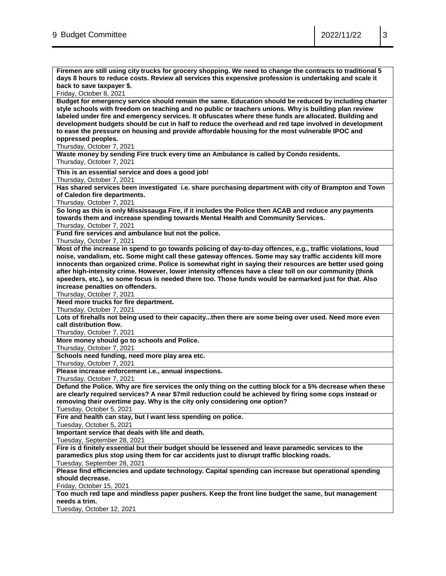**Firemen are still using city trucks for grocery shopping. We need to change the contracts to traditional 5 days 8 hours to reduce costs. Review all services this expensive profession is undertaking and scale it back to save taxpayer \$.** Friday, October 8, 2021 **Budget for emergency service should remain the same. Education should be reduced by including charter style schools with freedom on teaching and no public or teachers unions. Why is building plan review labeled under fire and emergency services. It obfuscates where these funds are allocated. Building and development budgets should be cut in half to reduce the overhead and red tape involved in development to ease the pressure on housing and provide affordable housing for the most vulnerable IPOC and oppressed peoples.**  Thursday, October 7, 2021 **Waste money by sending Fire truck every time an Ambulance is called by Condo residents.** Thursday, October 7, 2021 **This is an essential service and does a good job!** Thursday, October 7, 2021 **Has shared services been investigated i.e. share purchasing department with city of Brampton and Town of Caledon fire departments.**  Thursday, October 7, 2021 **So long as this is only Mississauga Fire, if it includes the Police then ACAB and reduce any payments towards them and increase spending towards Mental Health and Community Services.** Thursday, October 7, 2021 **Fund fire services and ambulance but not the police.**  Thursday, October 7, 2021 **Most of the increase in spend to go towards policing of day-to-day offences, e.g., traffic violations, loud noise, vandalism, etc. Some might call these gateway offences. Some may say traffic accidents kill more innocents than organized crime. Police is somewhat right in saying their resources are better used going after high-intensity crime. However, lower intensity offences have a clear toll on our community (think speeders, etc.), so some focus is needed there too. Those funds would be earmarked just for that. Also increase penalties on offenders.** Thursday, October 7, 2021 **Need more trucks for fire department.** Thursday, October 7, 2021 **Lots of firehalls not being used to their capacity...then there are some being over used. Need more even call distribution flow.** Thursday, October 7, 2021 **More money should go to schools and Police.** Thursday, October 7, 2021 **Schools need funding, need more play area etc.** Thursday, October 7, 2021 **Please increase enforcement i.e., annual inspections.**  Thursday, October 7, 2021 **Defund the Police. Why are fire services the only thing on the cutting block for a 5% decrease when these are clearly required services? A near \$7mil reduction could be achieved by firing some cops instead or removing their overtime pay. Why is the city only considering one option?** Tuesday, October 5, 2021 **Fire and health can stay, but I want less spending on police.** Tuesday, October 5, 2021 **Important service that deals with life and death.** Tuesday, September 28, 2021 **Fire is d finitely essential but their budget should be lessened and leave paramedic services to the paramedics plus stop using them for car accidents just to disrupt traffic blocking roads.** Tuesday, September 28, 2021 **Please find efficiencies and update technology. Capital spending can increase but operational spending should decrease.** Friday, October 15, 2021 **Too much red tape and mindless paper pushers. Keep the front line budget the same, but management needs a trim.** Tuesday, October 12, 2021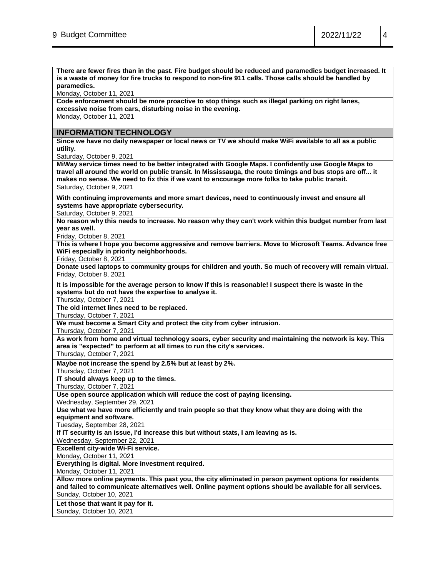**There are fewer fires than in the past. Fire budget should be reduced and paramedics budget increased. It is a waste of money for fire trucks to respond to non-fire 911 calls. Those calls should be handled by paramedics.** 

Monday, October 11, 2021

**Code enforcement should be more proactive to stop things such as illegal parking on right lanes, excessive noise from cars, disturbing noise in the evening.**

Monday, October 11, 2021

## **INFORMATION TECHNOLOGY**

**Since we have no daily newspaper or local news or TV we should make WiFi available to all as a public utility.**

Saturday, October 9, 2021

**MiWay service times need to be better integrated with Google Maps. I confidently use Google Maps to travel all around the world on public transit. In Mississauga, the route timings and bus stops are off... it makes no sense. We need to fix this if we want to encourage more folks to take public transit.** Saturday, October 9, 2021

**With continuing improvements and more smart devices, need to continuously invest and ensure all systems have appropriate cybersecurity.**

Saturday, October 9, 2021

**No reason why this needs to increase. No reason why they can't work within this budget number from last year as well.**

Friday, October 8, 2021

**This is where I hope you become aggressive and remove barriers. Move to Microsoft Teams. Advance free WiFi especially in priority neighborhoods.**

Friday, October 8, 2021

**Donate used laptops to community groups for children and youth. So much of recovery will remain virtual.**  Friday, October 8, 2021

**It is impossible for the average person to know if this is reasonable! I suspect there is waste in the systems but do not have the expertise to analyse it.**

Thursday, October 7, 2021

**The old internet lines need to be replaced.** 

Thursday, October 7, 2021

**We must become a Smart City and protect the city from cyber intrusion.**

Thursday, October 7, 2021

**As work from home and virtual technology soars, cyber security and maintaining the network is key. This area is "expected" to perform at all times to run the city's services.** 

Thursday, October 7, 2021

**Maybe not increase the spend by 2.5% but at least by 2%.** 

Thursday, October 7, 2021

**IT should always keep up to the times.**

Thursday, October 7, 2021

**Use open source application which will reduce the cost of paying licensing.**

Wednesday, September 29, 2021

**Use what we have more efficiently and train people so that they know what they are doing with the equipment and software.**

Tuesday, September 28, 2021

**If IT security is an issue, I'd increase this but without stats, I am leaving as is.**

Wednesday, September 22, 2021

**Excellent city-wide Wi-Fi service.**

Monday, October 11, 2021

**Everything is digital. More investment required.**

Monday, October 11, 2021

**Allow more online payments. This past you, the city eliminated in person payment options for residents and failed to communicate alternatives well. Online payment options should be available for all services.** Sunday, October 10, 2021

**Let those that want it pay for it.**

Sunday, October 10, 2021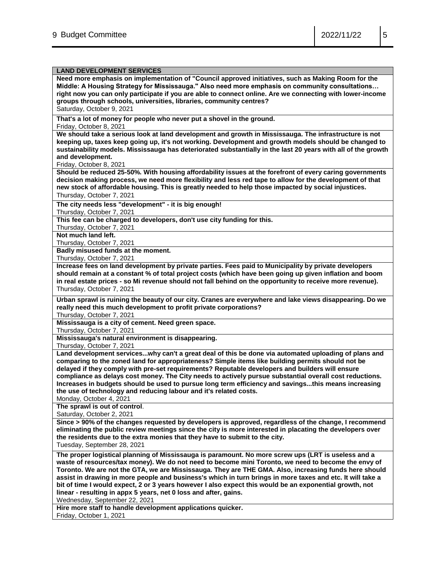## **LAND DEVELOPMENT SERVICES**

**Need more emphasis on implementation of "Council approved initiatives, such as Making Room for the Middle: A Housing Strategy for Mississauga." Also need more emphasis on community consultations… right now you can only participate if you are able to connect online. Are we connecting with lower-income groups through schools, universities, libraries, community centres?** 

Saturday, October 9, 2021

**That's a lot of money for people who never put a shovel in the ground.**

Friday, October 8, 2021

**We should take a serious look at land development and growth in Mississauga. The infrastructure is not keeping up, taxes keep going up, it's not working. Development and growth models should be changed to sustainability models. Mississauga has deteriorated substantially in the last 20 years with all of the growth and development.**

Friday, October 8, 2021

**Should be reduced 25-50%. With housing affordability issues at the forefront of every caring governments decision making process, we need more flexibility and less red tape to allow for the development of that new stock of affordable housing. This is greatly needed to help those impacted by social injustices.** Thursday, October 7, 2021

**The city needs less "development" - it is big enough!** 

Thursday, October 7, 2021

**This fee can be charged to developers, don't use city funding for this.**

Thursday, October 7, 2021

**Not much land left.**

Thursday, October 7, 2021

**Badly misused funds at the moment.**

Thursday, October 7, 2021

**Increase fees on land development by private parties. Fees paid to Municipality by private developers should remain at a constant % of total project costs (which have been going up given inflation and boom in real estate prices - so Mi revenue should not fall behind on the opportunity to receive more revenue).** Thursday, October 7, 2021

**Urban sprawl is ruining the beauty of our city. Cranes are everywhere and lake views disappearing. Do we really need this much development to profit private corporations?**

Thursday, October 7, 2021

**Mississauga is a city of cement. Need green space.**

Thursday, October 7, 2021

**Mississauga's natural environment is disappearing.** 

Thursday, October 7, 2021

**Land development services...why can't a great deal of this be done via automated uploading of plans and comparing to the zoned land for appropriateness? Simple items like building permits should not be delayed if they comply with pre-set requirements? Reputable developers and builders will ensure compliance as delays cost money. The City needs to actively pursue substantial overall cost reductions. Increases in budgets should be used to pursue long term efficiency and savings...this means increasing the use of technology and reducing labour and it's related costs.**

Monday, October 4, 2021

**The sprawl is out of control**.

Saturday, October 2, 2021

**Since > 90% of the changes requested by developers is approved, regardless of the change, I recommend eliminating the public review meetings since the city is more interested in placating the developers over the residents due to the extra monies that they have to submit to the city.** Tuesday, September 28, 2021

**The proper logistical planning of Mississauga is paramount. No more screw ups (LRT is useless and a waste of resources/tax money). We do not need to become mini Toronto, we need to become the envy of** 

**Toronto. We are not the GTA, we are Mississauga. They are THE GMA. Also, increasing funds here should assist in drawing in more people and business's which in turn brings in more taxes and etc. It will take a bit of time I would expect, 2 or 3 years however I also expect this would be an exponential growth, not linear - resulting in appx 5 years, net 0 loss and after, gains.** 

Wednesday, September 22, 2021

**Hire more staff to handle development applications quicker.**

Friday, October 1, 2021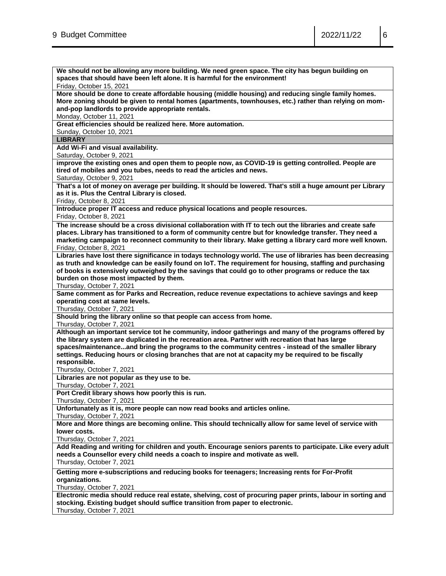| We should not be allowing any more building. We need green space. The city has begun building on            |
|-------------------------------------------------------------------------------------------------------------|
| spaces that should have been left alone. It is harmful for the environment!                                 |
| Friday, October 15, 2021                                                                                    |
| More should be done to create affordable housing (middle housing) and reducing single family homes.         |
| More zoning should be given to rental homes (apartments, townhouses, etc.) rather than relying on mom-      |
| and-pop landlords to provide appropriate rentals.                                                           |
| Monday, October 11, 2021                                                                                    |
| Great efficiencies should be realized here. More automation.                                                |
| Sunday, October 10, 2021                                                                                    |
| <b>LIBRARY</b>                                                                                              |
| Add Wi-Fi and visual availability.                                                                          |
| Saturday, October 9, 2021                                                                                   |
|                                                                                                             |
| improve the existing ones and open them to people now, as COVID-19 is getting controlled. People are        |
| tired of mobiles and you tubes, needs to read the articles and news.                                        |
| Saturday, October 9, 2021                                                                                   |
| That's a lot of money on average per building. It should be lowered. That's still a huge amount per Library |
| as it is. Plus the Central Library is closed.                                                               |
| Friday, October 8, 2021                                                                                     |
| Introduce proper IT access and reduce physical locations and people resources.                              |
| Friday, October 8, 2021                                                                                     |
| The increase should be a cross divisional collaboration with IT to tech out the libraries and create safe   |
| places. Library has transitioned to a form of community centre but for knowledge transfer. They need a      |
| marketing campaign to reconnect community to their library. Make getting a library card more well known.    |
| Friday, October 8, 2021                                                                                     |
| Libraries have lost there significance in todays technology world. The use of libraries has been decreasing |
|                                                                                                             |
| as truth and knowledge can be easily found on IoT. The requirement for housing, staffing and purchasing     |
| of books is extensively outweighed by the savings that could go to other programs or reduce the tax         |
| burden on those most impacted by them.                                                                      |
| Thursday, October 7, 2021                                                                                   |
| Same comment as for Parks and Recreation, reduce revenue expectations to achieve savings and keep           |
| operating cost at same levels.                                                                              |
| Thursday, October 7, 2021                                                                                   |
| Should bring the library online so that people can access from home.                                        |
| Thursday, October 7, 2021                                                                                   |
| Although an important service tot he community, indoor gatherings and many of the programs offered by       |
| the library system are duplicated in the recreation area. Partner with recreation that has large            |
| spaces/maintenanceand bring the programs to the community centres - instead of the smaller library          |
| settings. Reducing hours or closing branches that are not at capacity my be required to be fiscally         |
| responsible.                                                                                                |
| Thursday, October 7, 2021                                                                                   |
| Libraries are not popular as they use to be.                                                                |
| Thursday, October 7, 2021                                                                                   |
| Port Credit library shows how poorly this is run.                                                           |
|                                                                                                             |
| Thursday, October 7, 2021                                                                                   |
| Unfortunately as it is, more people can now read books and articles online.                                 |
| Thursday, October 7, 2021                                                                                   |
| More and More things are becoming online. This should technically allow for same level of service with      |
| lower costs.                                                                                                |
| Thursday, October 7, 2021                                                                                   |
| Add Reading and writing for children and youth. Encourage seniors parents to participate. Like every adult  |
| needs a Counsellor every child needs a coach to inspire and motivate as well.                               |
| Thursday, October 7, 2021                                                                                   |
| Getting more e-subscriptions and reducing books for teenagers; Increasing rents for For-Profit              |
| organizations.                                                                                              |
| Thursday, October 7, 2021                                                                                   |
| Electronic media should reduce real estate, shelving, cost of procuring paper prints, labour in sorting and |
|                                                                                                             |
| stocking. Existing budget should suffice transition from paper to electronic.                               |
| Thursday, October 7, 2021                                                                                   |
|                                                                                                             |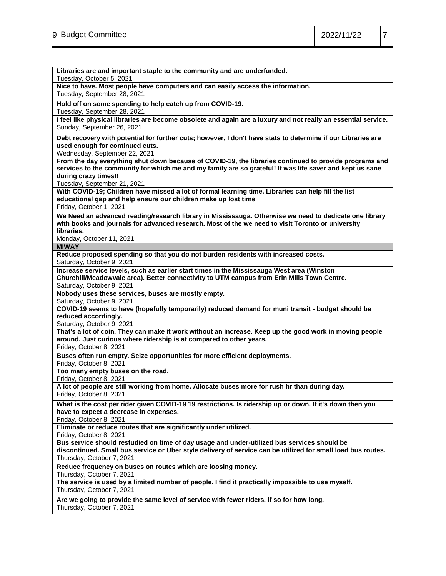| Libraries are and important staple to the community and are underfunded.<br>Tuesday, October 5, 2021                            |
|---------------------------------------------------------------------------------------------------------------------------------|
| Nice to have. Most people have computers and can easily access the information.<br>Tuesday, September 28, 2021                  |
| Hold off on some spending to help catch up from COVID-19.<br>Tuesday, September 28, 2021                                        |
| I feel like physical libraries are become obsolete and again are a luxury and not really an essential service.                  |
| Sunday, September 26, 2021                                                                                                      |
| Debt recovery with potential for further cuts; however, I don't have stats to determine if our Libraries are                    |
| used enough for continued cuts.                                                                                                 |
| Wednesday, September 22, 2021                                                                                                   |
| From the day everything shut down because of COVID-19, the libraries continued to provide programs and                          |
| services to the community for which me and my family are so grateful! It was life saver and kept us sane                        |
| during crazy times!!                                                                                                            |
| Tuesday, September 21, 2021                                                                                                     |
| With COVID-19; Children have missed a lot of formal learning time. Libraries can help fill the list                             |
| educational gap and help ensure our children make up lost time<br>Friday, October 1, 2021                                       |
|                                                                                                                                 |
| We Need an advanced reading/research library in Mississauga. Otherwise we need to dedicate one library                          |
| with books and journals for advanced research. Most of the we need to visit Toronto or university<br>libraries.                 |
| Monday, October 11, 2021                                                                                                        |
| <b>MIWAY</b>                                                                                                                    |
| Reduce proposed spending so that you do not burden residents with increased costs.                                              |
| Saturday, October 9, 2021                                                                                                       |
| Increase service levels, such as earlier start times in the Mississauga West area (Winston                                      |
| Churchill/Meadowvale area). Better connectivity to UTM campus from Erin Mills Town Centre.                                      |
| Saturday, October 9, 2021                                                                                                       |
| Nobody uses these services, buses are mostly empty.                                                                             |
|                                                                                                                                 |
| Saturday, October 9, 2021                                                                                                       |
| COVID-19 seems to have (hopefully temporarily) reduced demand for muni transit - budget should be                               |
| reduced accordingly.                                                                                                            |
| Saturday, October 9, 2021                                                                                                       |
| That's a lot of coin. They can make it work without an increase. Keep up the good work in moving people                         |
| around. Just curious where ridership is at compared to other years.                                                             |
| Friday, October 8, 2021                                                                                                         |
| Buses often run empty. Seize opportunities for more efficient deployments.                                                      |
| Friday, October 8, 2021                                                                                                         |
| Too many empty buses on the road.                                                                                               |
| Friday, October 8, 2021                                                                                                         |
| A lot of people are still working from home. Allocate buses more for rush hr than during day.<br>Friday, October 8, 2021        |
| What is the cost per rider given COVID-19 19 restrictions. Is ridership up or down. If it's down then you                       |
| have to expect a decrease in expenses.                                                                                          |
| Friday, October 8, 2021                                                                                                         |
| Eliminate or reduce routes that are significantly under utilized.                                                               |
| Friday, October 8, 2021                                                                                                         |
| Bus service should restudied on time of day usage and under-utilized bus services should be                                     |
| discontinued. Small bus service or Uber style delivery of service can be utilized for small load bus routes.                    |
| Thursday, October 7, 2021                                                                                                       |
| Reduce frequency on buses on routes which are loosing money.                                                                    |
| Thursday, October 7, 2021                                                                                                       |
| The service is used by a limited number of people. I find it practically impossible to use myself.<br>Thursday, October 7, 2021 |
| Are we going to provide the same level of service with fewer riders, if so for how long.<br>Thursday, October 7, 2021           |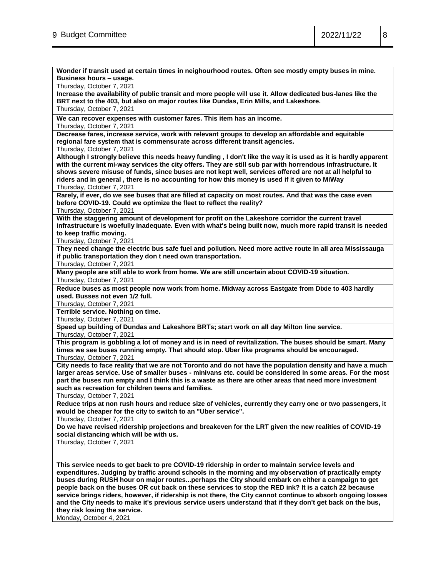**Wonder if transit used at certain times in neighourhood routes. Often see mostly empty buses in mine. Business hours – usage.**  Thursday, October 7, 2021 **Increase the availability of public transit and more people will use it. Allow dedicated bus-lanes like the BRT next to the 403, but also on major routes like Dundas, Erin Mills, and Lakeshore.** Thursday, October 7, 2021 **We can recover expenses with customer fares. This item has an income.** Thursday, October 7, 2021 **Decrease fares, increase service, work with relevant groups to develop an affordable and equitable regional fare system that is commensurate across different transit agencies.**  Thursday, October 7, 2021 **Although I strongly believe this needs heavy funding , I don't like the way it is used as it is hardly apparent with the current mi-way services the city offers. They are still sub par with horrendous infrastructure. It shows severe misuse of funds, since buses are not kept well, services offered are not at all helpful to riders and in general , there is no accounting for how this money is used if it given to MiWay** Thursday, October 7, 2021 **Rarely, if ever, do we see buses that are filled at capacity on most routes. And that was the case even before COVID-19. Could we optimize the fleet to reflect the reality?** Thursday, October 7, 2021 **With the staggering amount of development for profit on the Lakeshore corridor the current travel infrastructure is woefully inadequate. Even with what's being built now, much more rapid transit is needed to keep traffic moving.** Thursday, October 7, 2021 **They need change the electric bus safe fuel and pollution. Need more active route in all area Mississauga if public transportation they don t need own transportation.** Thursday, October 7, 2021 **Many people are still able to work from home. We are still uncertain about COVID-19 situation.**  Thursday, October 7, 2021 **Reduce buses as most people now work from home. Midway across Eastgate from Dixie to 403 hardly used. Busses not even 1/2 full.** Thursday, October 7, 2021 **Terrible service. Nothing on time.** Thursday, October 7, 2021 **Speed up building of Dundas and Lakeshore BRTs; start work on all day Milton line service.** Thursday, October 7, 2021 **This program is gobbling a lot of money and is in need of revitalization. The buses should be smart. Many times we see buses running empty. That should stop. Uber like programs should be encouraged.** Thursday, October 7, 2021 **City needs to face reality that we are not Toronto and do not have the population density and have a much larger areas service. Use of smaller buses - minivans etc. could be considered in some areas. For the most part the buses run empty and I think this is a waste as there are other areas that need more investment such as recreation for children teens and families.**  Thursday, October 7, 2021 **Reduce trips at non rush hours and reduce size of vehicles, currently they carry one or two passengers, it would be cheaper for the city to switch to an "Uber service".**  Thursday, October 7, 2021 **Do we have revised ridership projections and breakeven for the LRT given the new realities of COVID-19 social distancing which will be with us.** Thursday, October 7, 2021 **This service needs to get back to pre COVID-19 ridership in order to maintain service levels and expenditures. Judging by traffic around schools in the morning and my observation of practically empty buses during RUSH hour on major routes...perhaps the City should embark on either a campaign to get people back on the buses OR cut back on these services to stop the RED ink? It is a catch 22 because service brings riders, however, if ridership is not there, the City cannot continue to absorb ongoing losses and the City needs to make it's previous service users understand that if they don't get back on the bus, they risk losing the service.**

Monday, October 4, 2021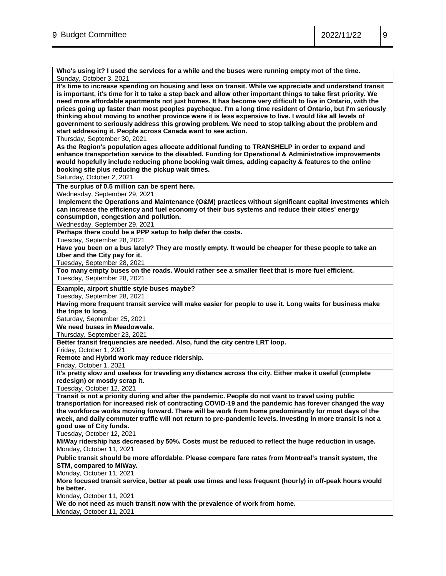| Who's using it? I used the services for a while and the buses were running empty mot of the time.<br>Sunday, October 3, 2021                                                                                                                                                                                                                                                                                                                                                                                                                                                                                                                                             |
|--------------------------------------------------------------------------------------------------------------------------------------------------------------------------------------------------------------------------------------------------------------------------------------------------------------------------------------------------------------------------------------------------------------------------------------------------------------------------------------------------------------------------------------------------------------------------------------------------------------------------------------------------------------------------|
| It's time to increase spending on housing and less on transit. While we appreciate and understand transit<br>is important, it's time for it to take a step back and allow other important things to take first priority. We<br>need more affordable apartments not just homes. It has become very difficult to live in Ontario, with the<br>prices going up faster than most peoples paycheque. I'm a long time resident of Ontario, but I'm seriously<br>thinking about moving to another province were it is less expensive to live. I would like all levels of<br>government to seriously address this growing problem. We need to stop talking about the problem and |
| start addressing it. People across Canada want to see action.<br>Thursday, September 30, 2021                                                                                                                                                                                                                                                                                                                                                                                                                                                                                                                                                                            |
| As the Region's population ages allocate additional funding to TRANSHELP in order to expand and<br>enhance transportation service to the disabled. Funding for Operational & Administrative improvements<br>would hopefully include reducing phone booking wait times, adding capacity & features to the online<br>booking site plus reducing the pickup wait times.<br>Saturday, October 2, 2021                                                                                                                                                                                                                                                                        |
| The surplus of 0.5 million can be spent here.                                                                                                                                                                                                                                                                                                                                                                                                                                                                                                                                                                                                                            |
| Wednesday, September 29, 2021<br>Implement the Operations and Maintenance (O&M) practices without significant capital investments which<br>can increase the efficiency and fuel economy of their bus systems and reduce their cities' energy<br>consumption, congestion and pollution.<br>Wednesday, September 29, 2021                                                                                                                                                                                                                                                                                                                                                  |
| Perhaps there could be a PPP setup to help defer the costs.                                                                                                                                                                                                                                                                                                                                                                                                                                                                                                                                                                                                              |
| Tuesday, September 28, 2021<br>Have you been on a bus lately? They are mostly empty. It would be cheaper for these people to take an                                                                                                                                                                                                                                                                                                                                                                                                                                                                                                                                     |
| Uber and the City pay for it.<br>Tuesday, September 28, 2021                                                                                                                                                                                                                                                                                                                                                                                                                                                                                                                                                                                                             |
| Too many empty buses on the roads. Would rather see a smaller fleet that is more fuel efficient.<br>Tuesday, September 28, 2021                                                                                                                                                                                                                                                                                                                                                                                                                                                                                                                                          |
| Example, airport shuttle style buses maybe?<br>Tuesday, September 28, 2021                                                                                                                                                                                                                                                                                                                                                                                                                                                                                                                                                                                               |
| Having more frequent transit service will make easier for people to use it. Long waits for business make                                                                                                                                                                                                                                                                                                                                                                                                                                                                                                                                                                 |
| the trips to long.<br>Saturday, September 25, 2021                                                                                                                                                                                                                                                                                                                                                                                                                                                                                                                                                                                                                       |
| We need buses in Meadowyale.                                                                                                                                                                                                                                                                                                                                                                                                                                                                                                                                                                                                                                             |
| Thursday, September 23, 2021                                                                                                                                                                                                                                                                                                                                                                                                                                                                                                                                                                                                                                             |
| Better transit frequencies are needed. Also, fund the city centre LRT loop.<br>Friday, October 1, 2021                                                                                                                                                                                                                                                                                                                                                                                                                                                                                                                                                                   |
| Remote and Hybrid work may reduce ridership.                                                                                                                                                                                                                                                                                                                                                                                                                                                                                                                                                                                                                             |
| Friday, October 1, 2021                                                                                                                                                                                                                                                                                                                                                                                                                                                                                                                                                                                                                                                  |
| It's pretty slow and useless for traveling any distance across the city. Either make it useful (complete<br>redesign) or mostly scrap it.<br>Tuesday, October 12, 2021                                                                                                                                                                                                                                                                                                                                                                                                                                                                                                   |
| Transit is not a priority during and after the pandemic. People do not want to travel using public<br>transportation for increased risk of contracting COVID-19 and the pandemic has forever changed the way<br>the workforce works moving forward. There will be work from home predominantly for most days of the<br>week, and daily commuter traffic will not return to pre-pandemic levels. Investing in more transit is not a<br>good use of City funds.<br>Tuesday, October 12, 2021                                                                                                                                                                               |
| MiWay ridership has decreased by 50%. Costs must be reduced to reflect the huge reduction in usage.                                                                                                                                                                                                                                                                                                                                                                                                                                                                                                                                                                      |
| Monday, October 11, 2021<br>Public transit should be more affordable. Please compare fare rates from Montreal's transit system, the<br>STM, compared to MiWay.                                                                                                                                                                                                                                                                                                                                                                                                                                                                                                           |
| Monday, October 11, 2021                                                                                                                                                                                                                                                                                                                                                                                                                                                                                                                                                                                                                                                 |
| More focused transit service, better at peak use times and less frequent (hourly) in off-peak hours would<br>be better.                                                                                                                                                                                                                                                                                                                                                                                                                                                                                                                                                  |
| Monday, October 11, 2021<br>We do not need as much transit now with the prevalence of work from home.                                                                                                                                                                                                                                                                                                                                                                                                                                                                                                                                                                    |
| Monday, October 11, 2021                                                                                                                                                                                                                                                                                                                                                                                                                                                                                                                                                                                                                                                 |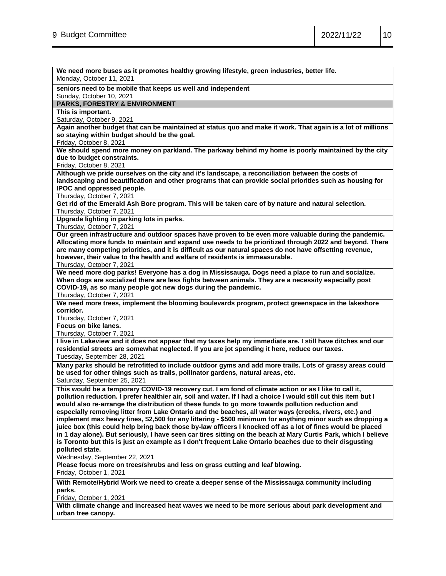| We need more buses as it promotes healthy growing lifestyle, green industries, better life.<br>Monday, October 11, 2021 |
|-------------------------------------------------------------------------------------------------------------------------|
|                                                                                                                         |
| seniors need to be mobile that keeps us well and independent<br>Sunday, October 10, 2021                                |
| <b>PARKS, FORESTRY &amp; ENVIRONMENT</b>                                                                                |
| This is important.                                                                                                      |
| Saturday, October 9, 2021                                                                                               |
| Again another budget that can be maintained at status quo and make it work. That again is a lot of millions             |
| so staying within budget should be the goal.                                                                            |
| Friday, October 8, 2021                                                                                                 |
| We should spend more money on parkland. The parkway behind my home is poorly maintained by the city                     |
|                                                                                                                         |
| due to budget constraints.                                                                                              |
| Friday, October 8, 2021                                                                                                 |
| Although we pride ourselves on the city and it's landscape, a reconciliation between the costs of                       |
| landscaping and beautification and other programs that can provide social priorities such as housing for                |
| IPOC and oppressed people.                                                                                              |
| Thursday, October 7, 2021                                                                                               |
| Get rid of the Emerald Ash Bore program. This will be taken care of by nature and natural selection.                    |
| Thursday, October 7, 2021                                                                                               |
| Upgrade lighting in parking lots in parks.                                                                              |
| Thursday, October 7, 2021                                                                                               |
| Our green infrastructure and outdoor spaces have proven to be even more valuable during the pandemic.                   |
| Allocating more funds to maintain and expand use needs to be prioritized through 2022 and beyond. There                 |
| are many competing priorities, and it is difficult as our natural spaces do not have offsetting revenue,                |
| however, their value to the health and welfare of residents is immeasurable.                                            |
|                                                                                                                         |
| Thursday, October 7, 2021                                                                                               |
| We need more dog parks! Everyone has a dog in Mississauga. Dogs need a place to run and socialize.                      |
| When dogs are socialized there are less fights between animals. They are a necessity especially post                    |
| COVID-19, as so many people got new dogs during the pandemic.                                                           |
| Thursday, October 7, 2021                                                                                               |
| We need more trees, implement the blooming boulevards program, protect greenspace in the lakeshore                      |
| corridor.                                                                                                               |
| Thursday, October 7, 2021                                                                                               |
| Focus on bike lanes.                                                                                                    |
| Thursday, October 7, 2021                                                                                               |
| I live in Lakeview and it does not appear that my taxes help my immediate are. I still have ditches and our             |
| residential streets are somewhat neglected. If you are jot spending it here, reduce our taxes.                          |
| Tuesday, September 28, 2021                                                                                             |
| Many parks should be retrofitted to include outdoor gyms and add more trails. Lots of grassy areas could                |
| be used for other things such as trails, pollinator gardens, natural areas, etc.                                        |
|                                                                                                                         |
| Saturday, September 25, 2021                                                                                            |
| This would be a temporary COVID-19 recovery cut. I am fond of climate action or as I like to call it,                   |
| pollution reduction. I prefer healthier air, soil and water. If I had a choice I would still cut this item but I        |
| would also re-arrange the distribution of these funds to go more towards pollution reduction and                        |
| especially removing litter from Lake Ontario and the beaches, all water ways (creeks, rivers, etc.) and                 |
| implement max heavy fines, \$2,500 for any littering - \$500 minimum for anything minor such as dropping a              |
| juice box (this could help bring back those by-law officers I knocked off as a lot of fines would be placed             |
| in 1 day alone). But seriously, I have seen car tires sitting on the beach at Mary Curtis Park, which I believe         |
| is Toronto but this is just an example as I don't frequent Lake Ontario beaches due to their disgusting                 |
| polluted state.                                                                                                         |
| Wednesday, September 22, 2021                                                                                           |
| Please focus more on trees/shrubs and less on grass cutting and leaf blowing.                                           |
|                                                                                                                         |
| Friday, October 1, 2021                                                                                                 |
| With Remote/Hybrid Work we need to create a deeper sense of the Mississauga community including                         |
| parks.                                                                                                                  |
| Friday, October 1, 2021                                                                                                 |
| With climate change and increased heat waves we need to be more serious about park development and                      |
| urban tree canopy.                                                                                                      |
|                                                                                                                         |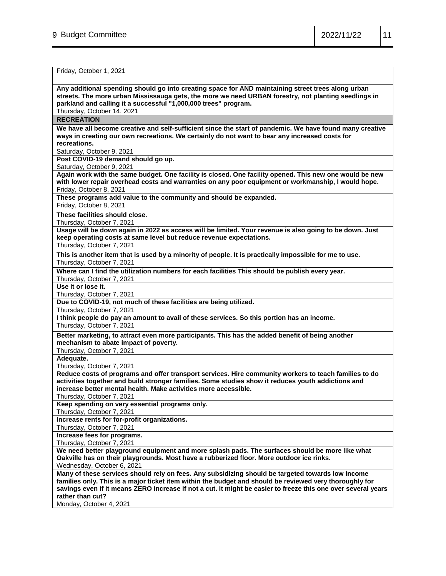Friday, October 1, 2021

**Any additional spending should go into creating space for AND maintaining street trees along urban streets. The more urban Mississauga gets, the more we need URBAN forestry, not planting seedlings in parkland and calling it a successful "1,000,000 trees" program.**

Thursday, October 14, 2021

**RECREATION**

**We have all become creative and self-sufficient since the start of pandemic. We have found many creative ways in creating our own recreations. We certainly do not want to bear any increased costs for recreations.** 

Saturday, October 9, 2021

**Post COVID-19 demand should go up.**

Saturday, October 9, 2021

**Again work with the same budget. One facility is closed. One facility opened. This new one would be new with lower repair overhead costs and warranties on any poor equipment or workmanship, I would hope.**  Friday, October 8, 2021

**These programs add value to the community and should be expanded.**

Friday, October 8, 2021

**These facilities should close.**

Thursday, October 7, 2021

**Usage will be down again in 2022 as access will be limited. Your revenue is also going to be down. Just keep operating costs at same level but reduce revenue expectations.**

Thursday, October 7, 2021

**This is another item that is used by a minority of people. It is practically impossible for me to use.** Thursday, October 7, 2021

**Where can I find the utilization numbers for each facilities This should be publish every year.**

Thursday, October 7, 2021

**Use it or lose it.** 

Thursday, October 7, 2021

**Due to COVID-19, not much of these facilities are being utilized.** 

Thursday, October 7, 2021

**I think people do pay an amount to avail of these services. So this portion has an income.** Thursday, October 7, 2021

**Better marketing, to attract even more participants. This has the added benefit of being another mechanism to abate impact of poverty.**

Thursday, October 7, 2021

**Adequate.**

Thursday, October 7, 2021

**Reduce costs of programs and offer transport services. Hire community workers to teach families to do activities together and build stronger families. Some studies show it reduces youth addictions and increase better mental health. Make activities more accessible.** 

Thursday, October 7, 2021

**Keep spending on very essential programs only.**

Thursday, October 7, 2021

**Increase rents for for-profit organizations.**

Thursday, October 7, 2021

**Increase fees for programs.**

Thursday, October 7, 2021

**We need better playground equipment and more splash pads. The surfaces should be more like what Oakville has on their playgrounds. Most have a rubberized floor. More outdoor ice rinks.** Wednesday, October 6, 2021

**Many of these services should rely on fees. Any subsidizing should be targeted towards low income families only. This is a major ticket item within the budget and should be reviewed very thoroughly for savings even if it means ZERO increase if not a cut. It might be easier to freeze this one over several years rather than cut?** 

Monday, October 4, 2021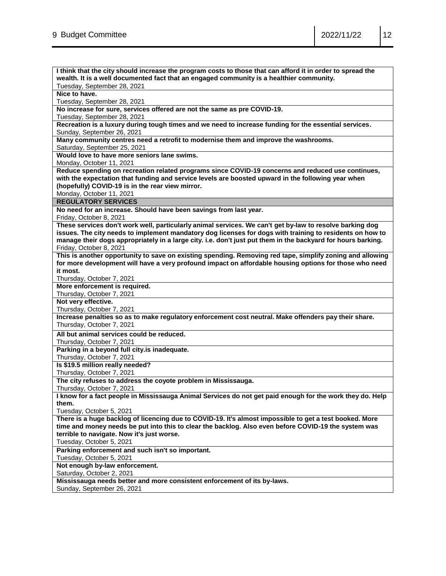| I think that the city should increase the program costs to those that can afford it in order to spread the                          |
|-------------------------------------------------------------------------------------------------------------------------------------|
| wealth. It is a well documented fact that an engaged community is a healthier community.                                            |
| Tuesday, September 28, 2021                                                                                                         |
| Nice to have.                                                                                                                       |
| Tuesday, September 28, 2021                                                                                                         |
| No increase for sure, services offered are not the same as pre COVID-19.                                                            |
| Tuesday, September 28, 2021                                                                                                         |
| Recreation is a luxury during tough times and we need to increase funding for the essential services.<br>Sunday, September 26, 2021 |
| Many community centres need a retrofit to modernise them and improve the washrooms.                                                 |
| Saturday, September 25, 2021                                                                                                        |
| Would love to have more seniors lane swims.                                                                                         |
| Monday, October 11, 2021                                                                                                            |
| Reduce spending on recreation related programs since COVID-19 concerns and reduced use continues,                                   |
| with the expectation that funding and service levels are boosted upward in the following year when                                  |
| (hopefully) COVID-19 is in the rear view mirror.                                                                                    |
| Monday, October 11, 2021                                                                                                            |
| <b>REGULATORY SERVICES</b>                                                                                                          |
| No need for an increase. Should have been savings from last year.                                                                   |
| Friday, October 8, 2021                                                                                                             |
| These services don't work well, particularly animal services. We can't get by-law to resolve barking dog                            |
| issues. The city needs to implement mandatory dog licenses for dogs with training to residents on how to                            |
| manage their dogs appropriately in a large city. i.e. don't just put them in the backyard for hours barking.                        |
| Friday, October 8, 2021                                                                                                             |
| This is another opportunity to save on existing spending. Removing red tape, simplify zoning and allowing                           |
| for more development will have a very profound impact on affordable housing options for those who need                              |
| it most.                                                                                                                            |
| Thursday, October 7, 2021                                                                                                           |
| More enforcement is required.                                                                                                       |
| Thursday, October 7, 2021                                                                                                           |
| Not very effective.                                                                                                                 |
|                                                                                                                                     |
|                                                                                                                                     |
| Thursday, October 7, 2021                                                                                                           |
| Increase penalties so as to make regulatory enforcement cost neutral. Make offenders pay their share.                               |
| Thursday, October 7, 2021                                                                                                           |
| All but animal services could be reduced.                                                                                           |
| Thursday, October 7, 2021                                                                                                           |
| Parking in a beyond full city.is inadequate.                                                                                        |
| Thursday, October 7, 2021                                                                                                           |
| Is \$19.5 million really needed?                                                                                                    |
| Thursday, October 7, 2021                                                                                                           |
| The city refuses to address the coyote problem in Mississauga.                                                                      |
| Thursday, October 7, 2021                                                                                                           |
| I know for a fact people in Mississauga Animal Services do not get paid enough for the work they do. Help                           |
| them.                                                                                                                               |
| Tuesday, October 5, 2021                                                                                                            |
| There is a huge backlog of licencing due to COVID-19. It's almost impossible to get a test booked. More                             |
| time and money needs be put into this to clear the backlog. Also even before COVID-19 the system was                                |
| terrible to navigate. Now it's just worse.                                                                                          |
| Tuesday, October 5, 2021                                                                                                            |
| Parking enforcement and such isn't so important.                                                                                    |
| Tuesday, October 5, 2021                                                                                                            |
| Not enough by-law enforcement.                                                                                                      |
| Saturday, October 2, 2021                                                                                                           |
| Mississauga needs better and more consistent enforcement of its by-laws.                                                            |
| Sunday, September 26, 2021                                                                                                          |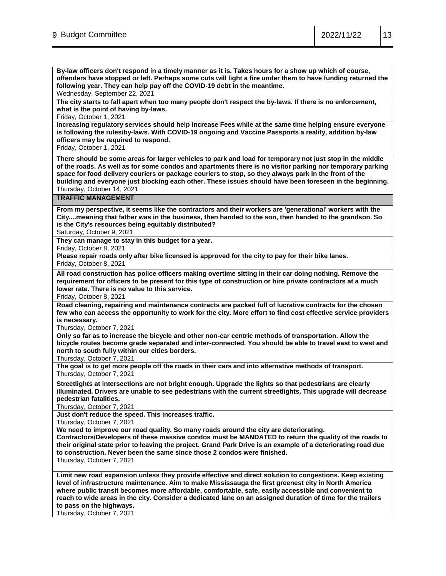**By-law officers don't respond in a timely manner as it is. Takes hours for a show up which of course, offenders have stopped or left. Perhaps some cuts will light a fire under them to have funding returned the following year. They can help pay off the COVID-19 debt in the meantime.**

Wednesday, September 22, 2021

**The city starts to fall apart when too many people don't respect the by-laws. If there is no enforcement, what is the point of having by-laws.**

Friday, October 1, 2021

**Increasing regulatory services should help increase Fees while at the same time helping ensure everyone is following the rules/by-laws. With COVID-19 ongoing and Vaccine Passports a reality, addition by-law officers may be required to respond.**

Friday, October 1, 2021

**There should be some areas for larger vehicles to park and load for temporary not just stop in the middle of the roads. As well as for some condos and apartments there is no visitor parking nor temporary parking space for food delivery couriers or package couriers to stop, so they always park in the front of the building and everyone just blocking each other. These issues should have been foreseen in the beginning.** Thursday, October 14, 2021

## **TRAFFIC MANAGEMENT**

**From my perspective, it seems like the contractors and their workers are 'generational' workers with the City....meaning that father was in the business, then handed to the son, then handed to the grandson. So is the City's resources being equitably distributed?**

Saturday, October 9, 2021

**They can manage to stay in this budget for a year.**

Friday, October 8, 2021

**Please repair roads only after bike licensed is approved for the city to pay for their bike lanes.** Friday, October 8, 2021

**All road construction has police officers making overtime sitting in their car doing nothing. Remove the requirement for officers to be present for this type of construction or hire private contractors at a much lower rate. There is no value to this service.** 

Friday, October 8, 2021

**Road cleaning, repairing and maintenance contracts are packed full of lucrative contracts for the chosen few who can access the opportunity to work for the city. More effort to find cost effective service providers is necessary.** 

Thursday, October 7, 2021

**Only so far as to increase the bicycle and other non-car centric methods of transportation. Allow the bicycle routes become grade separated and inter-connected. You should be able to travel east to west and north to south fully within our cities borders.**

Thursday, October 7, 2021

**The goal is to get more people off the roads in their cars and into alternative methods of transport.** Thursday, October 7, 2021

**Streetlights at intersections are not bright enough. Upgrade the lights so that pedestrians are clearly illuminated. Drivers are unable to see pedestrians with the current streetlights. This upgrade will decrease pedestrian fatalities.**

Thursday, October 7, 2021

**Just don't reduce the speed. This increases traffic.**

Thursday, October 7, 2021

**We need to improve our road quality. So many roads around the city are deteriorating.** 

**Contractors/Developers of these massive condos must be MANDATED to return the quality of the roads to their original state prior to leaving the project. Grand Park Drive is an example of a deteriorating road due to construction. Never been the same since those 2 condos were finished.**  Thursday, October 7, 2021

**Limit new road expansion unless they provide effective and direct solution to congestions. Keep existing level of infrastructure maintenance. Aim to make Mississauga the first greenest city in North America where public transit becomes more affordable, comfortable, safe, easily accessible and convenient to reach to wide areas in the city. Consider a dedicated lane on an assigned duration of time for the trailers to pass on the highways.**

Thursday, October 7, 2021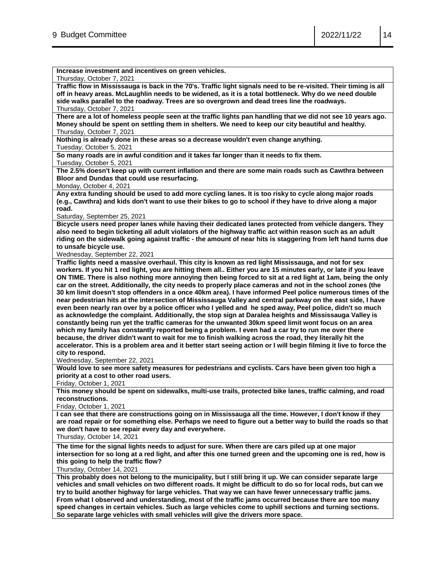**Increase investment and incentives on green vehicles.**

Thursday, October 7, 2021

**Traffic flow in Mississauga is back in the 70's. Traffic light signals need to be re-visited. Their timing is all off in heavy areas. McLaughlin needs to be widened, as it is a total bottleneck. Why do we need double side walks parallel to the roadway. Trees are so overgrown and dead trees line the roadways.** Thursday, October 7, 2021

**There are a lot of homeless people seen at the traffic lights pan handling that we did not see 10 years ago. Money should be spent on settling them in shelters. We need to keep our city beautiful and healthy.** Thursday, October 7, 2021

**Nothing is already done in these areas so a decrease wouldn't even change anything.**  Tuesday, October 5, 2021

**So many roads are in awful condition and it takes far longer than it needs to fix them.**

Tuesday, October 5, 2021

**The 2.5% doesn't keep up with current inflation and there are some main roads such as Cawthra between Bloor and Dundas that could use resurfacing.** 

Monday, October 4, 2021

**Any extra funding should be used to add more cycling lanes. It is too risky to cycle along major roads (e.g., Cawthra) and kids don't want to use their bikes to go to school if they have to drive along a major road.**

Saturday, September 25, 2021

**Bicycle users need proper lanes while having their dedicated lanes protected from vehicle dangers. They also need to begin ticketing all adult violators of the highway traffic act within reason such as an adult riding on the sidewalk going against traffic - the amount of near hits is staggering from left hand turns due to unsafe bicycle use.**

Wednesday, September 22, 2021

**Traffic lights need a massive overhaul. This city is known as red light Mississauga, and not for sex workers. If you hit 1 red light, you are hitting them all.. Either you are 15 minutes early, or late if you leave ON TIME. There is also nothing more annoying then being forced to sit at a red light at 1am, being the only car on the street. Additionally, the city needs to properly place cameras and not in the school zones (the 30 km limit doesn't stop offenders in a once 40km area). I have informed Peel police numerous times of the near pedestrian hits at the intersection of Mississauga Valley and central parkway on the east side, I have even been nearly ran over by a police officer who I yelled and he sped away, Peel police, didn't so much as acknowledge the complaint. Additionally, the stop sign at Daralea heights and Mississauga Valley is constantly being run yet the traffic cameras for the unwanted 30km speed limit wont focus on an area which my family has constantly reported being a problem. I even had a car try to run me over there because, the driver didn't want to wait for me to finish walking across the road, they literally hit the accelerator. This is a problem area and it better start seeing action or I will begin filming it live to force the city to respond.**

Wednesday, September 22, 2021

**Would love to see more safety measures for pedestrians and cyclists. Cars have been given too high a priority at a cost to other road users.**

Friday, October 1, 2021

**This money should be spent on sidewalks, multi-use trails, protected bike lanes, traffic calming, and road reconstructions.**

Friday, October 1, 2021

**I can see that there are constructions going on in Mississauga all the time. However, I don't know if they are road repair or for something else. Perhaps we need to figure out a better way to build the roads so that we don't have to see repair every day and everywhere.**

Thursday, October 14, 2021

**The time for the signal lights needs to adjust for sure. When there are cars piled up at one major intersection for so long at a red light, and after this one turned green and the upcoming one is red, how is this going to help the traffic flow?**

Thursday, October 14, 2021

**This probably does not belong to the municipality, but I still bring it up. We can consider separate large vehicles and small vehicles on two different roads. It might be difficult to do so for local rods, but can we try to build another highway for large vehicles. That way we can have fewer unnecessary traffic jams. From what I observed and understanding, most of the traffic jams occurred because there are too many speed changes in certain vehicles. Such as large vehicles come to uphill sections and turning sections. So separate large vehicles with small vehicles will give the drivers more space.**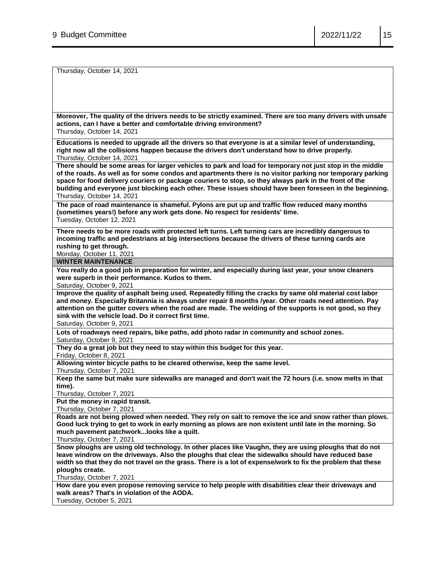Thursday, October 14, 2021

**Moreover, The quality of the drivers needs to be strictly examined. There are too many drivers with unsafe actions, can I have a better and comfortable driving environment?** Thursday, October 14, 2021

**Educations is needed to upgrade all the drivers so that everyone is at a similar level of understanding, right now all the collisions happen because the drivers don't understand how to drive properly.** Thursday, October 14, 2021

**There should be some areas for larger vehicles to park and load for temporary not just stop in the middle of the roads. As well as for some condos and apartments there is no visitor parking nor temporary parking space for food delivery couriers or package couriers to stop, so they always park in the front of the building and everyone just blocking each other. These issues should have been foreseen in the beginning.** Thursday, October 14, 2021

**The pace of road maintenance is shameful. Pylons are put up and traffic flow reduced many months (sometimes years!) before any work gets done. No respect for residents' time.** Tuesday, October 12, 2021

**There needs to be more roads with protected left turns. Left turning cars are incredibly dangerous to incoming traffic and pedestrians at big intersections because the drivers of these turning cards are rushing to get through.**

Monday, October 11, 2021

**WINTER MAINTENANCE**

**You really do a good job in preparation for winter, and especially during last year, your snow cleaners were superb in their performance. Kudos to them.**

Saturday, October 9, 2021

**Improve the quality of asphalt being used. Repeatedly filling the cracks by same old material cost labor and money. Especially Britannia is always under repair 8 months /year. Other roads need attention. Pay attention on the gutter covers when the road are made. The welding of the supports is not good, so they sink with the vehicle load. Do it correct first time.** 

Saturday, October 9, 2021

**Lots of roadways need repairs, bike paths, add photo radar in community and school zones.** Saturday, October 9, 2021

**They do a great job but they need to stay within this budget for this year.**

Friday, October 8, 2021

**Allowing winter bicycle paths to be cleared otherwise, keep the same level.**

Thursday, October 7, 2021

**Keep the same but make sure sidewalks are managed and don't wait the 72 hours (i.e. snow melts in that time).**

Thursday, October 7, 2021

**Put the money in rapid transit.**

Thursday, October 7, 2021

**Roads are not being plowed when needed. They rely on salt to remove the ice and snow rather than plows. Good luck trying to get to work in early morning as plows are non existent until late in the morning. So much pavement patchwork...looks like a quilt.**

Thursday, October 7, 2021

**Snow ploughs are using old technology. In other places like Vaughn, they are using ploughs that do not leave windrow on the driveways. Also the ploughs that clear the sidewalks should have reduced base width so that they do not travel on the grass. There is a lot of expense/work to fix the problem that these ploughs create.**

Thursday, October 7, 2021

**How dare you even propose removing service to help people with disabilities clear their driveways and walk areas? That's in violation of the AODA.**

Tuesday, October 5, 2021